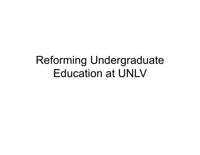#### Reforming Undergraduate Education at UNLV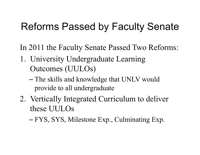#### Reforms Passed by Faculty Senate

In 2011 the Faculty Senate Passed Two Reforms:

- 1. University Undergraduate Learning Outcomes (UULOs)
	- The skills and knowledge that UNLV would provide to all undergraduate
- 2. Vertically Integrated Curriculum to deliver these UULOs
	- FYS, SYS, Milestone Exp., Culminating Exp.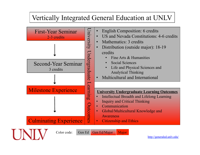#### Vertically Integrated General Education at UNLV



http://generaled.unlv.edu/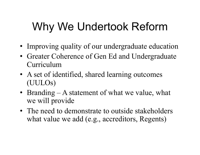# Why We Undertook Reform

- Improving quality of our undergraduate education
- Greater Coherence of Gen Ed and Undergraduate Curriculum
- A set of identified, shared learning outcomes (UULOs)
- Branding A statement of what we value, what we will provide
- The need to demonstrate to outside stakeholders what value we add (e.g., accreditors, Regents)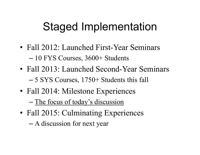## Staged Implementation

- Fall 2012: Launched First-Year Seminars – 10 FYS Courses, 3600+ Students
- Fall 2013: Launched Second-Year Seminars – 5 SYS Courses, 1750+ Students this fall
- Fall 2014: Milestone Experiences – The focus of today's discussion
- Fall 2015: Culminating Experiences
	- A discussion for next year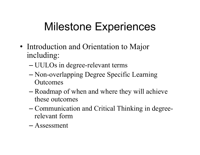## Milestone Experiences

- Introduction and Orientation to Major including:
	- UULOs in degree-relevant terms
	- Non-overlapping Degree Specific Learning **Outcomes**
	- Roadmap of when and where they will achieve these outcomes
	- Communication and Critical Thinking in degreerelevant form
	- Assessment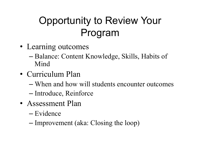#### Opportunity to Review Your Program

- Learning outcomes
	- Balance: Content Knowledge, Skills, Habits of Mind
- Curriculum Plan
	- When and how will students encounter outcomes
	- Introduce, Reinforce
- Assessment Plan
	- Evidence
	- Improvement (aka: Closing the loop)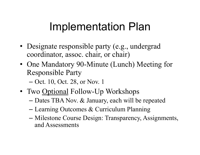#### Implementation Plan

- Designate responsible party (e.g., undergrad coordinator, assoc. chair, or chair)
- One Mandatory 90-Minute (Lunch) Meeting for Responsible Party
	- Oct. 10, Oct. 28, or Nov. 1
- Two Optional Follow-Up Workshops
	- Dates TBA Nov. & January, each will be repeated
	- Learning Outcomes & Curriculum Planning
	- Milestone Course Design: Transparency, Assignments, and Assessments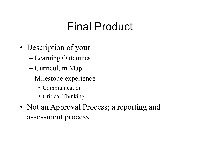#### Final Product

- Description of your
	- Learning Outcomes
	- Curriculum Map
	- Milestone experience
		- Communication
		- Critical Thinking
- Not an Approval Process; a reporting and assessment process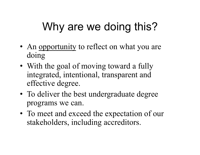# Why are we doing this?

- An opportunity to reflect on what you are doing
- With the goal of moving toward a fully integrated, intentional, transparent and effective degree.
- To deliver the best undergraduate degree programs we can.
- To meet and exceed the expectation of our stakeholders, including accreditors.